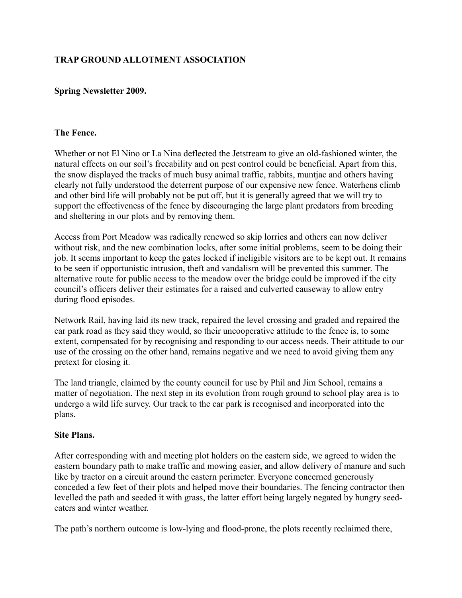# **TRAP GROUND ALLOTMENT ASSOCIATION**

## **Spring Newsletter 2009.**

#### **The Fence.**

Whether or not El Nino or La Nina deflected the Jetstream to give an old-fashioned winter, the natural effects on our soil's freeability and on pest control could be beneficial. Apart from this, the snow displayed the tracks of much busy animal traffic, rabbits, muntjac and others having clearly not fully understood the deterrent purpose of our expensive new fence. Waterhens climb and other bird life will probably not be put off, but it is generally agreed that we will try to support the effectiveness of the fence by discouraging the large plant predators from breeding and sheltering in our plots and by removing them.

Access from Port Meadow was radically renewed so skip lorries and others can now deliver without risk, and the new combination locks, after some initial problems, seem to be doing their job. It seems important to keep the gates locked if ineligible visitors are to be kept out. It remains to be seen if opportunistic intrusion, theft and vandalism will be prevented this summer. The alternative route for public access to the meadow over the bridge could be improved if the city council's officers deliver their estimates for a raised and culverted causeway to allow entry during flood episodes.

Network Rail, having laid its new track, repaired the level crossing and graded and repaired the car park road as they said they would, so their uncooperative attitude to the fence is, to some extent, compensated for by recognising and responding to our access needs. Their attitude to our use of the crossing on the other hand, remains negative and we need to avoid giving them any pretext for closing it.

The land triangle, claimed by the county council for use by Phil and Jim School, remains a matter of negotiation. The next step in its evolution from rough ground to school play area is to undergo a wild life survey. Our track to the car park is recognised and incorporated into the plans.

#### **Site Plans.**

After corresponding with and meeting plot holders on the eastern side, we agreed to widen the eastern boundary path to make traffic and mowing easier, and allow delivery of manure and such like by tractor on a circuit around the eastern perimeter. Everyone concerned generously conceded a few feet of their plots and helped move their boundaries. The fencing contractor then levelled the path and seeded it with grass, the latter effort being largely negated by hungry seedeaters and winter weather.

The path's northern outcome is low-lying and flood-prone, the plots recently reclaimed there,